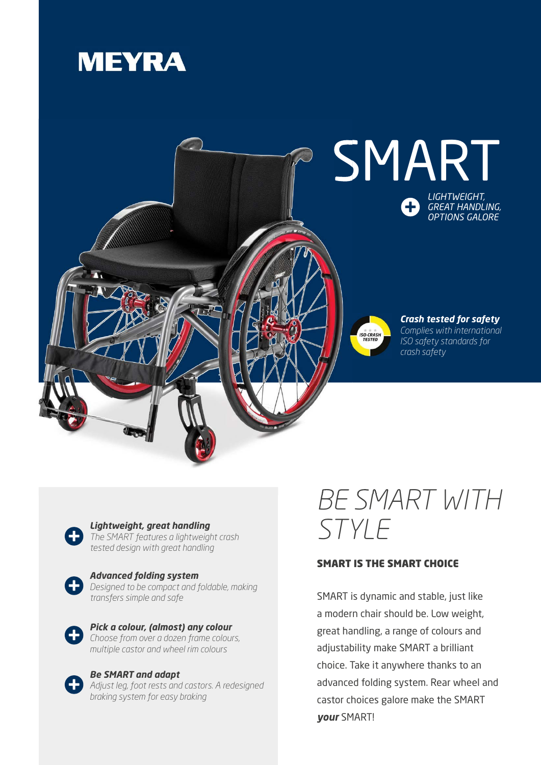



*Lightweight, great handling The SMART features a lightweight crash* 



*tested design with great handling*

*Advanced folding system Designed to be compact and foldable, making transfers simple and safe*



*Pick a colour, (almost) any colour Choose from over a dozen frame colours, multiple castor and wheel rim colours*

*Be SMART and adapt Adjust leg, foot rests and castors. A redesigned braking system for easy braking*

## *BE SMART WITH STYLE*

## SMART IS THE SMART CHOICE

SMART is dynamic and stable, just like a modern chair should be. Low weight, great handling, a range of colours and adjustability make SMART a brilliant choice. Take it anywhere thanks to an advanced folding system. Rear wheel and castor choices galore make the SMART *your* SMART!